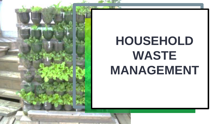

# **HOUSEHOLD WASTE MANAGEMENT**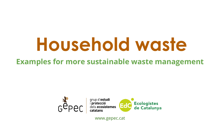# **Household waste**

## **Examples for more sustainable waste management**





www.gepec.cat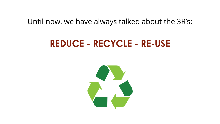#### Until now, we have always talked about the 3R's:

# **REDUCE - RECYCLE - RE-USE**

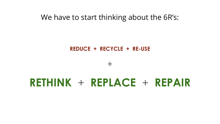#### We have to start thinking about the 6R's:

#### **REDUCE + RECYCLE + RE-USE**

+

# **RETHINK** + **REPLACE** + **REPAIR**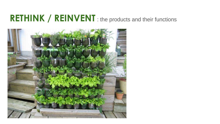# **RETHINK / REINVENT**: the products and their functions

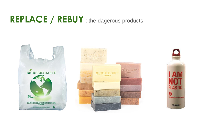# **REPLACE / REBUY** : the dagerous products

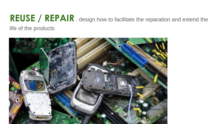## **REUSE / REPAIR** : design how to facilitate the reparation and extend the life of the products

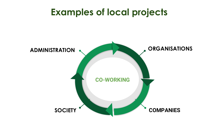# **Examples of local projects**

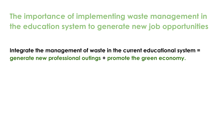**The importance of implementing waste management in the education system to generate new job opportunities**

**Integrate the management of waste in the current educational system = generate new professional outings + promote the green economy.**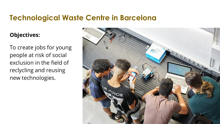#### **Technological Waste Centre in Barcelona**

#### **Objectives:**

To create jobs for young people at risk of social exclusion in the field of reclycling and reusing new technologies.

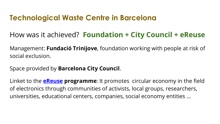## **Technological Waste Centre in Barcelona**

## How was it achieved? **Foundation + City Council + eReuse**

Management: **Fundació Trinijove**, foundation working with people at risk of social exclusion.

Space provided by **Barcelona City Council**.

Linket to the **eReuse programme**: It promotes circular economy in the field of electronics through communities of activists, local groups, researchers, universities, educational centers, companies, social economy entities ...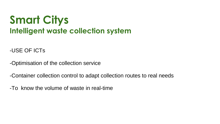# **Smart Citys Intelligent waste collection system**

-USE OF ICTs

-Optimisation of the collection service

-Container collection control to adapt collection routes to real needs

-To know the volume of waste in real-time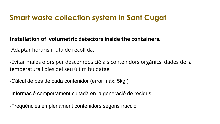## **Smart waste collection system in Sant Cugat**

#### **Installation of volumetric detectors inside the containers.**

-Adaptar horaris i ruta de recollida.

-Evitar males olors per descomposició als contenidors orgànics: dades de la temperatura i dies del seu últim buidatge.

-Càlcul de pes de cada contenidor (error màx. 5kg.)

-Informació comportament ciutadà en la generació de residus

-Freqüències emplenament contenidors segons fracció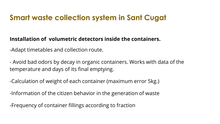## **Smart waste collection system in Sant Cugat**

#### **Installation of volumetric detectors inside the containers.**

-Adapt timetables and collection route.

- Avoid bad odors by decay in organic containers. Works with data of the temperature and days of its final emptying.

-Calculation of weight of each container (maximum error 5kg.)

-Information of the citizen behavior in the generation of waste

-Frequency of container fillings according to fraction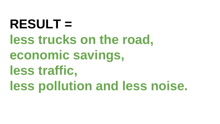**RESULT = less trucks on the road, economic savings, less traffic, less pollution and less noise.**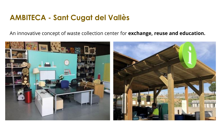#### **AMBITECA - Sant Cugat del Vallès**

An innovative concept of waste collection center for **exchange, reuse and education.**

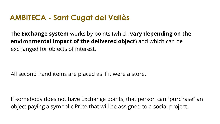### **AMBITECA - Sant Cugat del Vallès**

The **Exchange system** works by points (which **vary depending on the environmental impact of the delivered object**) and which can be exchanged for objects of interest.

All second hand items are placed as if it were a store.

If somebody does not have Exchange points, that person can "purchase" an object paying a symbolic Price that will be assigned to a social project.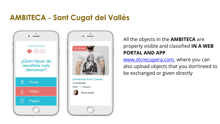## **AMBITECA - Sant Cugat del Vallès**



#### All the objects in the **AMBITECA** are properly visible and classified **IN A WEB PORTAL AND APP**

www.stcrecupera.com, where you can also upload objects that you don'tneed to be exchanged or given directly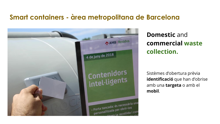#### **Smart containers - àrea metropolitana de Barcelona**



**Domestic** and **commercial waste collection.**

Sistèmes d'obertura prèvia **identificació** que han d'obrise amb una **targeta** o amb el **mobil**.